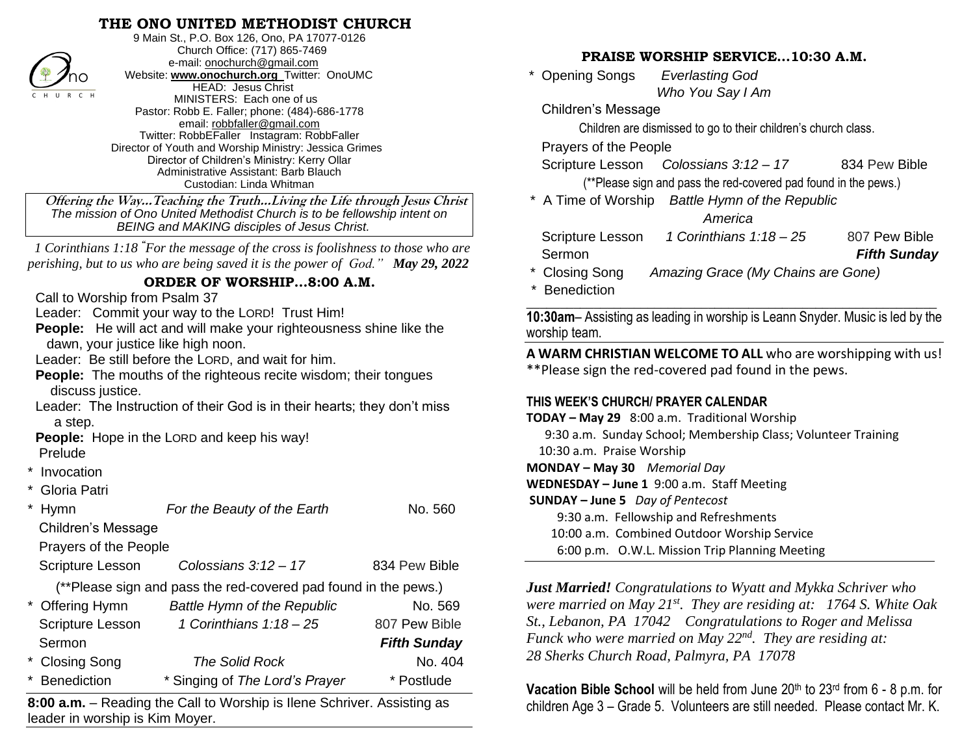# **THE ONO UNITED METHODIST CHURCH**



9 Main St., P.O. Box 126, Ono, PA 17077-0126 Church Office: (717) 865-7469 e-mail[: onochurch@gmail.com](mailto:onochurch@gmail.com) Website: **[www.onochurch.org](http://www.onochurch.org/)** Twitter: OnoUMC HEAD: Jesus Christ MINISTERS: Each one of us Pastor: Robb E. Faller; phone: (484)-686-1778 email: [robbfaller@gmail.com](mailto:robbfaller@gmail.com) Twitter: RobbEFaller Instagram: RobbFaller Director of Youth and Worship Ministry: Jessica Grimes Director of Children's Ministry: Kerry Ollar Administrative Assistant: Barb Blauch Custodian: Linda Whitman

### **ORDER OF WORSHIP…8:00 A.M.**

- **Invocation**
- Gloria Patri

| mo<br><b>HEAD: Jesus Christ</b><br>C H U R C H<br>MINISTERS: Each one of us<br>Pastor: Robb E. Faller; phone: (484)-686-1778<br>email: robbfaller@gmail.com<br>Twitter: RobbEFaller Instagram: RobbFaller<br>Director of Youth and Worship Ministry: Jessica Grimes<br>Director of Children's Ministry: Kerry Ollar<br>Administrative Assistant: Barb Blauch<br>Custodian: Linda Whitman                                                                                                                  |                                                            | Opening Songs<br>Evenasting God<br>Who You Say I Am<br><b>Children's Message</b><br>Children are dismissed to go to their children's church class.<br>Prayers of the People<br>Scripture Lesson<br>Colossians $3:12-17$<br>834 Pew Bible<br>(**Please sign and pass the red-covered pad found in the pews.)                   |  |  |
|-----------------------------------------------------------------------------------------------------------------------------------------------------------------------------------------------------------------------------------------------------------------------------------------------------------------------------------------------------------------------------------------------------------------------------------------------------------------------------------------------------------|------------------------------------------------------------|-------------------------------------------------------------------------------------------------------------------------------------------------------------------------------------------------------------------------------------------------------------------------------------------------------------------------------|--|--|
| Offering the WayTeaching the TruthLiving the Life through Jesus Christ<br>The mission of Ono United Methodist Church is to be fellowship intent on<br>BEING and MAKING disciples of Jesus Christ.                                                                                                                                                                                                                                                                                                         |                                                            | * A Time of Worship Battle Hymn of the Republic<br>America<br>1 Corinthians $1:18-25$<br>807 Pew Bible<br>Scripture Lesson                                                                                                                                                                                                    |  |  |
| 1 Corinthians 1:18 "For the message of the cross is foolishness to those who are<br>perishing, but to us who are being saved it is the power of God." May 29, 2022<br>ORDER OF WORSHIP8:00 A.M.<br>Call to Worship from Psalm 37                                                                                                                                                                                                                                                                          |                                                            | <b>Fifth Sunday</b><br>Sermon<br>* Closing Song<br>Amazing Grace (My Chains are Gone)<br>* Benediction                                                                                                                                                                                                                        |  |  |
| Leader: Commit your way to the LORD! Trust Him!<br><b>People:</b> He will act and will make your righteousness shine like the<br>dawn, your justice like high noon.<br>Leader: Be still before the LORD, and wait for him.<br>People: The mouths of the righteous recite wisdom; their tongues<br>discuss justice.<br>Leader: The Instruction of their God is in their hearts; they don't miss<br>a step.<br>People: Hope in the LORD and keep his way!<br>Prelude<br>* Invocation<br><b>Gloria Patri</b> |                                                            | 10:30am- Assisting as leading in worship is Leann Snyder. Music is led by the<br>worship team.                                                                                                                                                                                                                                |  |  |
|                                                                                                                                                                                                                                                                                                                                                                                                                                                                                                           |                                                            | A WARM CHRISTIAN WELCOME TO ALL who are worshipping with us!<br>**Please sign the red-covered pad found in the pews.                                                                                                                                                                                                          |  |  |
|                                                                                                                                                                                                                                                                                                                                                                                                                                                                                                           |                                                            | THIS WEEK'S CHURCH/ PRAYER CALENDAR<br>TODAY - May 29 8:00 a.m. Traditional Worship<br>9:30 a.m. Sunday School; Membership Class; Volunteer Training<br>10:30 a.m. Praise Worship<br>MONDAY - May 30 Memorial Day<br>WEDNESDAY - June 1 9:00 a.m. Staff Meeting                                                               |  |  |
| * Hymn<br>For the Beauty of the Earth<br><b>Children's Message</b><br>Prayers of the People                                                                                                                                                                                                                                                                                                                                                                                                               | No. 560                                                    | <b>SUNDAY - June 5</b> Day of Pentecost<br>9:30 a.m. Fellowship and Refreshments<br>10:00 a.m. Combined Outdoor Worship Service<br>6:00 p.m. O.W.L. Mission Trip Planning Meeting                                                                                                                                             |  |  |
| Colossians $3:12-17$<br>Scripture Lesson                                                                                                                                                                                                                                                                                                                                                                                                                                                                  | 834 Pew Bible                                              |                                                                                                                                                                                                                                                                                                                               |  |  |
| (**Please sign and pass the red-covered pad found in the pews.)<br>* Offering Hymn<br>Battle Hymn of the Republic<br>1 Corinthians $1:18-25$<br>Scripture Lesson<br>Sermon<br>* Closing Song<br><b>The Solid Rock</b>                                                                                                                                                                                                                                                                                     | No. 569<br>807 Pew Bible<br><b>Fifth Sunday</b><br>No. 404 | <b>Just Married!</b> Congratulations to Wyatt and Mykka Schriver who<br>were married on May $21^{st}$ . They are residing at: 1764 S. White Oak<br>St., Lebanon, PA 17042 Congratulations to Roger and Melissa<br>Funck who were married on May $22^{nd}$ . They are residing at:<br>28 Sherks Church Road, Palmyra, PA 17078 |  |  |
| * Singing of The Lord's Prayer<br>Benediction                                                                                                                                                                                                                                                                                                                                                                                                                                                             | * Postlude                                                 | Vacation Bible School will be held from June 20th to 23rd from 6 - 8 p.m. for                                                                                                                                                                                                                                                 |  |  |
| 8:00 a.m. - Reading the Call to Worship is Ilene Schriver. Assisting as                                                                                                                                                                                                                                                                                                                                                                                                                                   |                                                            | children Age 3 - Grade 5. Volunteers are still needed. Please contact Mr. K.                                                                                                                                                                                                                                                  |  |  |

**8:00 a.m.** – Reading the Call to Worship is Ilene Schriver. Assisting as leader in worship is Kim Moyer. 

## **PRAISE WORSHIP SERVICE…10:30 A.M.**

 \* Opening Songs *Everlasting God Who You Say I Am* 

- \* Closing Song *Amazing Grace (My Chains are Gone)*
- \* Benediction

### **THIS WEEK'S CHURCH/ PRAYER CALENDAR**